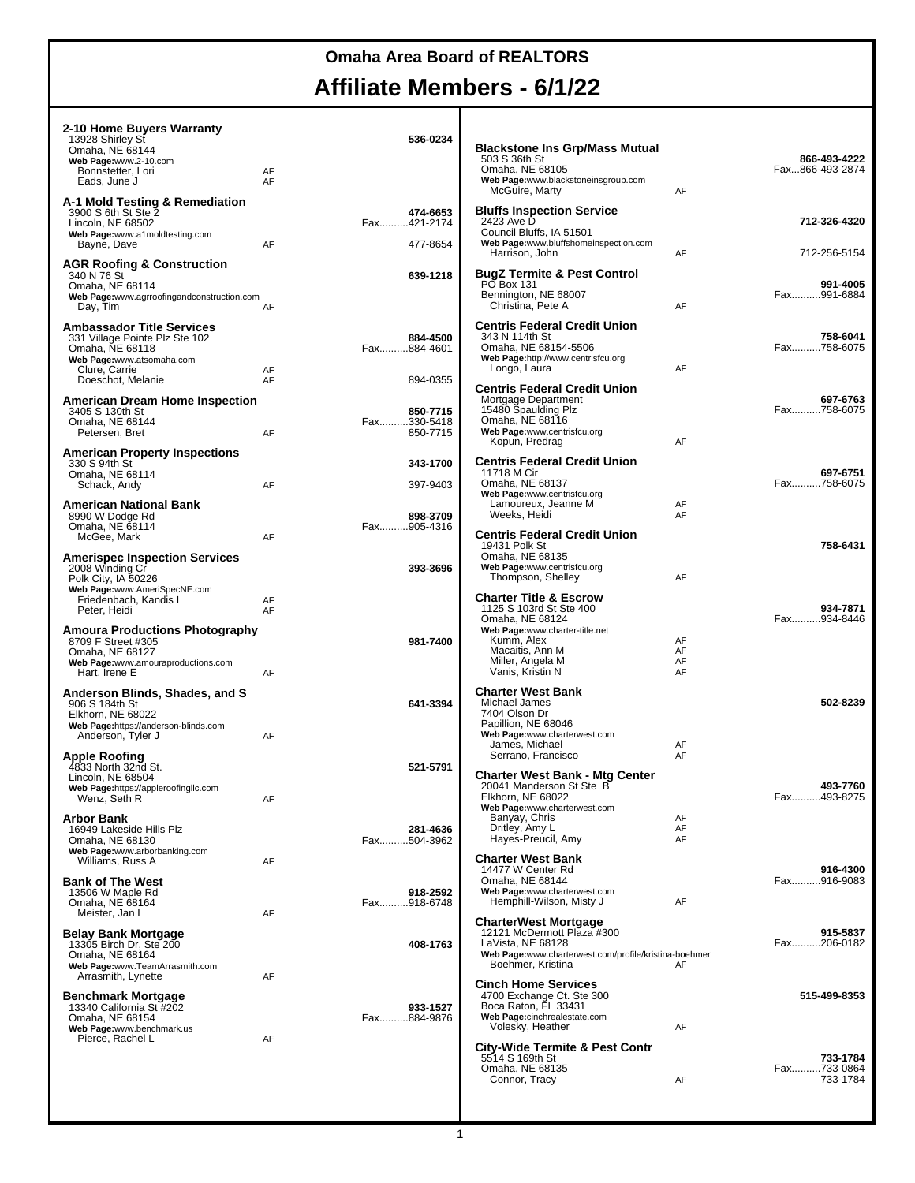#### **Omaha Area Board of REALTORS**

#### **Affiliate Members - 6/1/22**

| 2-10 Home Buyers Warranty<br>13928 Shirley St<br>Omaha, NE 68144<br>Web Page:www.2-10.com<br>Bonnstetter, Lori<br>Eads, June J                           | AF<br>AF | 536-0234                            |
|----------------------------------------------------------------------------------------------------------------------------------------------------------|----------|-------------------------------------|
| A-1 Mold Testing & Remediation<br>3900 S 6th St Ste 2<br>Lincoln, NE 68502<br>Web Page:www.a1moldtesting.com<br>Bayne, Dave                              | AF       | 474-6653<br>Fax421-2174<br>477-8654 |
| <b>AGR Roofing &amp; Construction</b><br>340 N 76 St<br>Omaha, NE 68114<br>Web Page:www.agrroofingandconstruction.com<br>Day, Tim                        | AF       | 639-1218                            |
| <b>Ambassador Title Services</b><br>331 Village Pointe Plz Ste 102<br>Omaha, NE 68118<br>Web Page:www.atsomaha.com<br>Clure, Carrie<br>Doeschot, Melanie | AF<br>AF | 884-4500<br>Fax884-4601<br>894-0355 |
| <b>American Dream Home Inspection</b><br>3405 S 130th St<br>Omaha, NE 68144<br>Petersen, Bret                                                            | AF       | 850-7715<br>Fax330-5418<br>850-7715 |
| <b>American Property Inspections</b><br>330 S 94th St<br>Omaha, NE 68114                                                                                 |          | 343-1700                            |
| Schack, Andy                                                                                                                                             | AF       | 397-9403                            |

| Eads, June J                                                                                                                   | AF       |             |                      | Web Page:www.blackstoneinsgroup.com                                                                                           |                      |                                     |
|--------------------------------------------------------------------------------------------------------------------------------|----------|-------------|----------------------|-------------------------------------------------------------------------------------------------------------------------------|----------------------|-------------------------------------|
| A-1 Mold Testing & Remediation<br>3900 S 6th St Ste 2<br>Lincoln, NE 68502                                                     |          | Fax421-2174 | 474-6653             | McGuire, Marty<br><b>Bluffs Inspection Service</b><br>2423 Ave D                                                              | AF                   | 712-326-4320                        |
| Web Page:www.a1moldtesting.com<br>Bayne, Dave                                                                                  | AF       |             | 477-8654             | Council Bluffs, IA 51501<br>Web Page:www.bluffshomeinspection.com<br>Harrison, John                                           | AF                   | 712-256-5154                        |
| AGR Roofing & Construction<br>340 N 76 St<br>Omaha, NE 68114<br>Web Page:www.agrroofingandconstruction.com<br>Day, Tim         | AF       |             | 639-1218             | <b>BugZ Termite &amp; Pest Control</b><br><b>PO Box 131</b><br>Bennington, NE 68007<br>Christina, Pete A                      | AF                   | 991-4005<br>Fax991-6884             |
|                                                                                                                                |          |             |                      | <b>Centris Federal Credit Union</b>                                                                                           |                      |                                     |
| Ambassador Title Services<br>331 Village Pointe Plz Ste 102<br>Omaha, NE 68118<br>Web Page:www.atsomaha.com<br>Clure, Carrie   | AF       | Fax884-4601 | 884-4500             | 343 N 114th St<br>Omaha, NE 68154-5506<br>Web Page:http://www.centrisfcu.org<br>Longo, Laura                                  | AF                   | 758-6041<br>Fax758-6075             |
| Doeschot, Melanie                                                                                                              | AF       |             | 894-0355             | <b>Centris Federal Credit Union</b>                                                                                           |                      |                                     |
| American Dream Home Inspection<br>3405 S 130th St<br>Omaha, NE 68144<br>Petersen, Bret                                         | AF       | Fax330-5418 | 850-7715<br>850-7715 | Mortgage Department<br>15480 Spaulding Plz<br>Omaha, NE 68116<br>Web Page:www.centrisfcu.org                                  |                      | 697-6763<br>Fax758-6075             |
|                                                                                                                                |          |             |                      | Kopun, Predrag                                                                                                                | AF                   |                                     |
| American Property Inspections<br>330 S 94th St<br>Omaha, NE 68114<br>Schack, Andy                                              | AF       |             | 343-1700<br>397-9403 | <b>Centris Federal Credit Union</b><br>11718 M Cir<br>Omaha, NE 68137                                                         |                      | 697-6751<br>Fax758-6075             |
| American National Bank<br>8990 W Dodge Rd                                                                                      |          |             | 898-3709             | Web Page:www.centrisfcu.org<br>Lamoureux, Jeanne M<br>Weeks, Heidi                                                            | AF<br>AF             |                                     |
| Omaha, NE 68114<br>McGee, Mark<br>Amerispec Inspection Services                                                                | AF       | Fax905-4316 |                      | <b>Centris Federal Credit Union</b><br>19431 Polk St<br>Omaha, NE 68135                                                       |                      | 758-6431                            |
| 2008 Winding Cr<br>Polk City, IA 50226<br>Web Page:www.AmeriSpecNE.com                                                         |          |             | 393-3696             | Web Page:www.centrisfcu.org<br>Thompson, Shelley                                                                              | AF                   |                                     |
| Friedenbach, Kandis L<br>Peter, Heidi                                                                                          | AF<br>AF |             |                      | <b>Charter Title &amp; Escrow</b><br>1125 S 103rd St Ste 400<br>Omaha, NE 68124<br>Web Page:www.charter-title.net             |                      | 934-7871<br>Fax934-8446             |
| Amoura Productions Photography<br>8709 F Street #305<br>Omaha, NE 68127<br>Web Page:www.amouraproductions.com<br>Hart, Irene E | AF       |             | 981-7400             | Kumm, Alex<br>Macaitis, Ann M<br>Miller, Angela M<br>Vanis, Kristin N                                                         | AF<br>AF<br>AF<br>AF |                                     |
| Anderson Blinds, Shades, and S<br>906 S 184th St                                                                               |          |             | 641-3394             | <b>Charter West Bank</b><br>Michael James                                                                                     |                      | 502-8239                            |
| Elkhorn, NE 68022<br>Web Page:https://anderson-blinds.com<br>Anderson, Tyler J                                                 | AF       |             |                      | 7404 Olson Dr<br>Papillion, NE 68046<br>Web Page:www.charterwest.com<br>James, Michael                                        | AF                   |                                     |
| Apple Roofing<br>4833 North 32nd St.<br>Lincoln, NE 68504                                                                      |          |             | 521-5791             | Serrano, Francisco<br><b>Charter West Bank - Mtg Center</b>                                                                   | AF                   |                                     |
| Web Page:https://appleroofingllc.com<br>Wenz, Seth R<br>Arbor Bank                                                             | AF       |             |                      | 20041 Manderson St Ste B<br>Elkhorn, NE 68022<br>Web Page:www.charterwest.com<br>Banyay, Chris                                | AF                   | 493-7760<br>Fax493-8275             |
| 16949 Lakeside Hills Plz<br>Omaha, NE 68130<br>Web Page:www.arborbanking.com                                                   |          | Fax504-3962 | 281-4636             | Dritley, Amy L<br>Hayes-Preucil, Amy                                                                                          | AF<br>AF             |                                     |
| Williams, Russ A<br>Bank of The West<br>13506 W Maple Rd                                                                       | AF       |             | 918-2592             | <b>Charter West Bank</b><br>14477 W Center Rd<br>Omaha, NE 68144<br>Web Page:www.charterwest.com                              |                      | 916-4300<br>Fax916-9083             |
| Omaha, NE 68164<br>Meister, Jan L                                                                                              | AF       | Fax918-6748 |                      | Hemphill-Wilson, Misty J<br><b>CharterWest Mortgage</b>                                                                       | AF                   |                                     |
| Belay Bank Mortgage<br>13305 Birch Dr, Ste 200<br>Omaha, NE 68164<br>Web Page:www.TeamArrasmith.com                            |          |             | 408-1763             | 12121 McDermott Plaza #300<br>LaVista, NE 68128<br>Web Page:www.charterwest.com/profile/kristina-boehmer<br>Boehmer, Kristina | AF                   | 915-5837<br>Fax206-0182             |
| Arrasmith, Lynette<br>Benchmark Mortgage<br>13340 California St #202                                                           | AF       |             | 933-1527             | <b>Cinch Home Services</b><br>4700 Exchange Ct. Ste 300<br>Boca Raton, FL 33431                                               |                      | 515-499-8353                        |
| Omaha, NE 68154<br>Web Page:www.benchmark.us<br>Pierce, Rachel L                                                               | AF       | Fax884-9876 |                      | Web Page:cinchrealestate.com<br>Volesky, Heather                                                                              | AF                   |                                     |
|                                                                                                                                |          |             |                      | <b>City-Wide Termite &amp; Pest Contr</b><br>5514 S 169th St<br>Omaha, NE 68135<br>Connor, Tracy                              | AF                   | 733-1784<br>Fax733-0864<br>733-1784 |
|                                                                                                                                |          |             |                      |                                                                                                                               |                      |                                     |

**Blackstone Ins Grp/Mass Mutual** 503 S 36th St **866-493-4222** Omaha, NE 68105 Fax...866-493-2874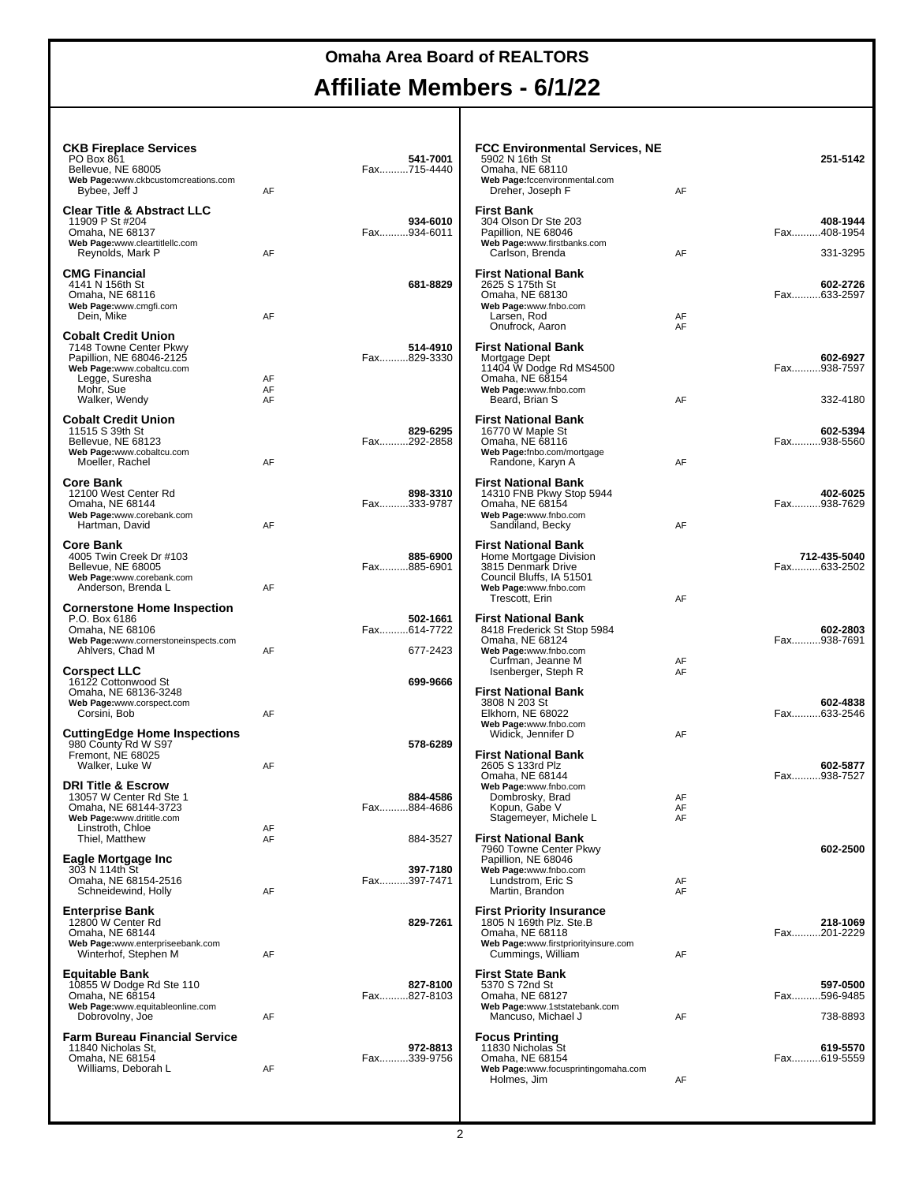Т

| <b>CKB Fireplace Services</b><br>PO Box 861<br>Bellevue, NE 68005<br>Web Page:www.ckbcustomcreations.com<br>Bybee, Jeff J                                     | AF             | 541-7001<br>Fax715-4440             | <b>FCC Environmental Services, NE</b><br>5902 N 16th St<br>Omaha, NE 68110<br>Web Page:fccenvironmental.com<br>Dreher, Joseph F                   | AF             | 251-5142                            |
|---------------------------------------------------------------------------------------------------------------------------------------------------------------|----------------|-------------------------------------|---------------------------------------------------------------------------------------------------------------------------------------------------|----------------|-------------------------------------|
| <b>Clear Title &amp; Abstract LLC</b><br>11909 P St #204<br>Omaha, NE 68137<br>Web Page:www.cleartitlellc.com<br>Reynolds, Mark P                             | AF             | 934-6010<br>Fax934-6011             | <b>First Bank</b><br>304 Olson Dr Ste 203<br>Papillion, NE 68046<br>Web Page:www.firstbanks.com<br>Carlson, Brenda                                | AF             | 408-1944<br>Fax408-1954<br>331-3295 |
| <b>CMG Financial</b><br>4141 N 156th St<br>Omaha, NE 68116<br>Web Page:www.cmgfi.com<br>Dein, Mike                                                            | AF             | 681-8829                            | <b>First National Bank</b><br>2625 S 175th St<br>Omaha, NE 68130<br>Web Page:www.fnbo.com<br>Larsen, Rod<br>Onufrock, Aaron                       | AF<br>AF       | 602-2726<br>Fax633-2597             |
| <b>Cobalt Credit Union</b><br>7148 Towne Center Pkwy<br>Papillion, NE 68046-2125<br>Web Page:www.cobaltcu.com<br>Legge, Suresha<br>Mohr, Sue<br>Walker, Wendy | AF<br>AF<br>AF | 514-4910<br>Fax829-3330             | <b>First National Bank</b><br>Mortgage Dept<br>11404 W Dodge Rd MS4500<br>Omaha, NE 68154<br>Web Page:www.fnbo.com<br>Beard, Brian S              | AF             | 602-6927<br>Fax938-7597<br>332-4180 |
| <b>Cobalt Credit Union</b><br>11515 S 39th St<br>Bellevue, NE 68123<br>Web Page:www.cobaltcu.com<br>Moeller, Rachel                                           | AF             | 829-6295<br>Fax292-2858             | <b>First National Bank</b><br>16770 W Maple St<br>Omaha, NE 68116<br>Web Page:fnbo.com/mortgage<br>Randone, Karyn A                               | AF             | 602-5394<br>Fax938-5560             |
| Core Bank<br>12100 West Center Rd<br>Omaha, NE 68144<br>Web Page:www.corebank.com<br>Hartman, David                                                           | AF             | 898-3310<br>Fax333-9787             | <b>First National Bank</b><br>14310 FNB Pkwy Stop 5944<br>Omaha, NE 68154<br>Web Page:www.fnbo.com<br>Sandiland, Becky                            | AF             | 402-6025<br>Fax938-7629             |
| Core Bank<br>4005 Twin Creek Dr #103<br>Bellevue, NE 68005<br>Web Page:www.corebank.com<br>Anderson, Brenda L                                                 | AF             | 885-6900<br>Fax885-6901             | <b>First National Bank</b><br>Home Mortgage Division<br>3815 Denmark Drive<br>Council Bluffs, IA 51501<br>Web Page:www.fnbo.com<br>Trescott, Erin | AF             | 712-435-5040<br>Fax633-2502         |
| <b>Cornerstone Home Inspection</b><br>P.O. Box 6186<br>Omaha, NE 68106<br>Web Page:www.cornerstoneinspects.com<br>Ahlvers, Chad M                             | AF             | 502-1661<br>Fax614-7722<br>677-2423 | <b>First National Bank</b><br>8418 Frederick St Stop 5984<br>Omaha, NE 68124<br>Web Page:www.fnbo.com<br>Curfman, Jeanne M                        | AF             | 602-2803<br>Fax938-7691             |
| <b>Corspect LLC</b><br>16122 Cottonwood St<br>Omaha, NE 68136-3248<br>Web Page:www.corspect.com<br>Corsini, Bob                                               | AF             | 699-9666                            | Isenberger, Steph R<br><b>First National Bank</b><br>3808 N 203 St<br>Elkhorn, NE 68022<br>Web Page:www.fnbo.com                                  | AF             | 602-4838<br>Fax633-2546             |
| <b>CuttingEdge Home Inspections</b><br>980 County Rd W S97<br>Fremont, NE 68025<br>Walker, Luke W                                                             | AF             | 578-6289                            | Widick, Jennifer D<br><b>First National Bank</b><br>2605 S 133rd Plz<br>Omaha, NE 68144                                                           | AF             | 602-5877<br>Fax938-7527             |
| <b>DRI Title &amp; Escrow</b><br>13057 W Center Rd Ste 1<br>Omaha, NE 68144-3723<br>Web Page:www.drititle.com<br>Linstroth, Chloe<br>Thiel. Matthew           | AF<br>AF       | 884-4586<br>Fax884-4686<br>884-3527 | Web Page:www.fnbo.com<br>Dombrosky, Brad<br>Kopun, Gabe V<br>Stagemeyer, Michele L<br><b>First National Bank</b>                                  | AF<br>AF<br>AF |                                     |
| Eagle Mortgage Inc<br>303 N 114th St<br>Omaha, NE 68154-2516<br>Schneidewind, Holly                                                                           | AF             | 397-7180<br>Fax397-7471             | 7960 Towne Center Pkwy<br>Papillion, NE 68046<br>Web Page:www.fnbo.com<br>Lundstrom, Eric S<br>Martin, Brandon                                    | AF<br>AF       | 602-2500                            |
| <b>Enterprise Bank</b><br>12800 W Center Rd<br>Omaha, NE 68144<br>Web Page:www.enterpriseebank.com<br>Winterhof, Stephen M                                    | AF             | 829-7261                            | <b>First Priority Insurance</b><br>1805 N 169th Plz. Ste.B<br>Omaha, NE 68118<br>Web Page:www.firstpriorityinsure.com<br>Cummings, William        | AF             | 218-1069<br>Fax201-2229             |
| Equitable Bank<br>10855 W Dodge Rd Ste 110<br>Omaha, NE 68154<br>Web Page:www.equitableonline.com<br>Dobrovolny, Joe                                          | AF             | 827-8100<br>Fax827-8103             | <b>First State Bank</b><br>5370 S 72nd St<br>Omaha, NE 68127<br>Web Page:www.1ststatebank.com<br>Mancuso, Michael J                               | AF             | 597-0500<br>Fax596-9485<br>738-8893 |
| Farm Bureau Financial Service<br>11840 Nicholas St.<br>Omaha, NE 68154<br>Williams, Deborah L                                                                 | AF             | 972-8813<br>Fax339-9756             | <b>Focus Printing</b><br>11830 Nicholas St<br>Omaha, NE 68154<br>Web Page:www.focusprintingomaha.com<br>Holmes, Jim                               | AF             | 619-5570<br>Fax619-5559             |
|                                                                                                                                                               |                |                                     |                                                                                                                                                   |                |                                     |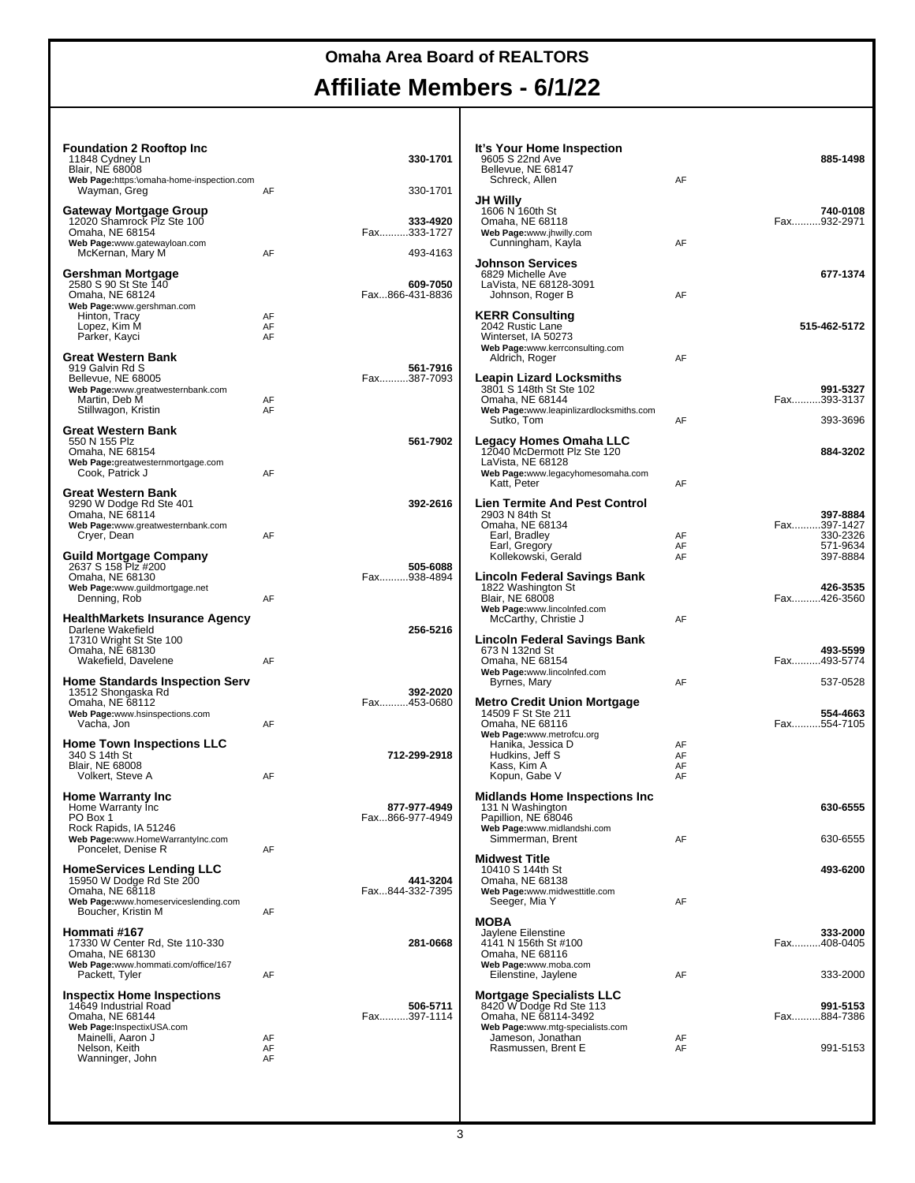т

| <b>Foundation 2 Rooftop Inc.</b><br>11848 Cydney Ln<br><b>Blair, NE 68008</b>                                                                |                | 330-1701                            | It's Your Home Inspection<br>9605 S 22nd Ave<br>Bellevue, NE 68147<br>Schreck, Allen                                   | AF                   | 885-1498                            |
|----------------------------------------------------------------------------------------------------------------------------------------------|----------------|-------------------------------------|------------------------------------------------------------------------------------------------------------------------|----------------------|-------------------------------------|
| Web Page:https:\omaha-home-inspection.com<br>Wayman, Greg                                                                                    | AF             | 330-1701                            |                                                                                                                        |                      |                                     |
| Gateway Mortgage Group<br>12020 Shamrock Plz Ste 100<br>Omaha, NE 68154<br>Web Page:www.gatewayloan.com<br>McKernan, Mary M                  | AF             | 333-4920<br>Fax333-1727<br>493-4163 | JH Willy<br>1606 N 160th St<br>Omaha, NE 68118<br>Web Page:www.jhwilly.com<br>Cunningham, Kayla                        | AF                   | 740-0108<br>Fax932-2971             |
| Gershman Mortgage<br>2580 S 90 St Ste 140<br>Omaha, NE 68124                                                                                 |                | 609-7050<br>Fax866-431-8836         | <b>Johnson Services</b><br>6829 Michelle Ave<br>LaVista, NE 68128-3091<br>Johnson, Roger B                             | AF                   | 677-1374                            |
| Web Page:www.gershman.com<br>Hinton, Tracy<br>Lopez, Kim M<br>Parker, Kayci                                                                  | AF<br>AF<br>AF |                                     | <b>KERR Consulting</b><br>2042 Rustic Lane<br>Winterset, IA 50273<br>Web Page:www.kerrconsulting.com                   |                      | 515-462-5172                        |
| <b>Great Western Bank</b><br>919 Galvin Rd S<br>Bellevue, NE 68005<br>Web Page:www.greatwesternbank.com<br>Martin, Deb M                     | AF             | 561-7916<br>Fax387-7093             | Aldrich, Roger<br><b>Leapin Lizard Locksmiths</b><br>3801 S 148th St Ste 102<br>Omaha, NE 68144                        | AF                   | 991-5327<br>Fax393-3137             |
| Stillwagon, Kristin                                                                                                                          | AF             |                                     | Web Page:www.leapinlizardlocksmiths.com<br>Sutko, Tom                                                                  | AF                   | 393-3696                            |
| <b>Great Western Bank</b><br>550 N 155 Plz<br>Omaha, NE 68154<br>Web Page:greatwesternmortgage.com                                           |                | 561-7902                            | Legacy Homes Omaha LLC<br>12040 McDermott Plz Ste 120<br>LaVista. NE 68128                                             |                      | 884-3202                            |
| Cook. Patrick J                                                                                                                              | AF             |                                     | Web Page:www.legacyhomesomaha.com<br>Katt, Peter                                                                       | AF                   |                                     |
| <b>Great Western Bank</b><br>9290 W Dodge Rd Ste 401<br>Omaha, NE 68114<br>Web Page:www.greatwesternbank.com<br>Cryer, Dean                  | AF             | 392-2616                            | <b>Lien Termite And Pest Control</b><br>2903 N 84th St<br>Omaha, NE 68134<br>Earl, Bradley                             | AF                   | 397-8884<br>Fax397-1427<br>330-2326 |
| <b>Guild Mortgage Company</b>                                                                                                                |                |                                     | Earl, Gregory<br>Kollekowski, Gerald                                                                                   | AF<br>AF             | 571-9634<br>397-8884                |
| 2637 S 158 Plz #200<br>Omaha, NE 68130<br>Web Page:www.guildmortgage.net<br>Denning, Rob                                                     | AF             | 505-6088<br>Fax938-4894             | Lincoln Federal Savings Bank<br>1822 Washington St<br><b>Blair, NE 68008</b><br>Web Page:www.lincolnfed.com            |                      | 426-3535<br>Fax426-3560             |
| <b>HealthMarkets Insurance Agency</b><br>Darlene Wakefield<br>17310 Wright St Ste 100                                                        |                | 256-5216                            | McCarthy, Christie J<br>Lincoln Federal Savings Bank                                                                   | AF                   | 493-5599                            |
| Omaha, NE 68130<br>Wakefield, Davelene<br><b>Home Standards Inspection Serv</b>                                                              | AF             |                                     | 673 N 132nd St<br>Omaha, NE 68154<br>Web Page:www.lincolnfed.com<br>Byrnes, Mary                                       | AF                   | Fax493-5774<br>537-0528             |
| 13512 Shongaska Rd<br>Omaha, NE 68112<br>Web Page:www.hsinspections.com<br>Vacha, Jon                                                        | AF             | 392-2020<br>Fax453-0680             | <b>Metro Credit Union Mortgage</b><br>14509 F St Ste 211<br>Omaha, NE 68116                                            |                      | 554-4663<br>Fax554-7105             |
| <b>Home Town Inspections LLC</b><br>340 S 14th St<br><b>Blair, NE 68008</b><br>Volkert, Steve A                                              | AF             | 712-299-2918                        | Web Page:www.metrofcu.org<br>Hanika, Jessica D<br>Hudkins, Jeff S<br>Kass, Kim A<br>Kopun, Gabe V                      | AF<br>AF<br>AF<br>AF |                                     |
| <b>Home Warranty Inc.</b><br>Home Warranty Inc<br>PO Box 1<br>Rock Rapids, IA 51246                                                          |                | 877-977-4949<br>Fax866-977-4949     | <b>Midlands Home Inspections Inc</b><br>131 N Washington<br>Papillion, NE 68046<br>Web Page:www.midlandshi.com         |                      | 630-6555                            |
| Web Page:www.HomeWarrantyInc.com<br>Poncelet, Denise R                                                                                       | AF             |                                     | Simmerman, Brent                                                                                                       | AF                   | 630-6555                            |
| <b>HomeServices Lending LLC</b><br>15950 W Dodge Rd Ste 200<br>Omaha, NE 68118<br>Web Page:www.homeserviceslending.com<br>Boucher, Kristin M |                | 441-3204<br>Fax844-332-7395         | <b>Midwest Title</b><br>10410 S 144th St<br>Omaha, NE 68138<br>Web Page:www.midwesttitle.com<br>Seeger, Mia Y          | AF                   | 493-6200                            |
| Hommati #167<br>17330 W Center Rd, Ste 110-330<br>Omaha, NE 68130                                                                            | AF             | 281-0668                            | <b>MOBA</b><br>Javlene Eilenstine<br>4141 N 156th St #100<br>Omaha, NE 68116                                           |                      | 333-2000<br>Fax408-0405             |
| Web Page:www.hommati.com/office/167<br>Packett, Tyler                                                                                        | AF             |                                     | Web Page:www.moba.com<br>Eilenstine, Jaylene                                                                           | AF                   | 333-2000                            |
| <b>Inspectix Home Inspections</b><br>14649 Industrial Road<br>Omaha, NE 68144<br>Web Page:InspectixUSA.com                                   |                | 506-5711<br>Fax397-1114             | <b>Mortgage Specialists LLC</b><br>8420 W Dodge Rd Ste 113<br>Omaha, NE 68114-3492<br>Web Page:www.mtg-specialists.com |                      | 991-5153<br>Fax884-7386             |
| Mainelli, Aaron J<br>Nelson, Keith<br>Wanninger, John                                                                                        | AF<br>AF<br>AF |                                     | Jameson, Jonathan<br>Rasmussen, Brent E                                                                                | AF<br>AF             | 991-5153                            |
|                                                                                                                                              |                |                                     |                                                                                                                        |                      |                                     |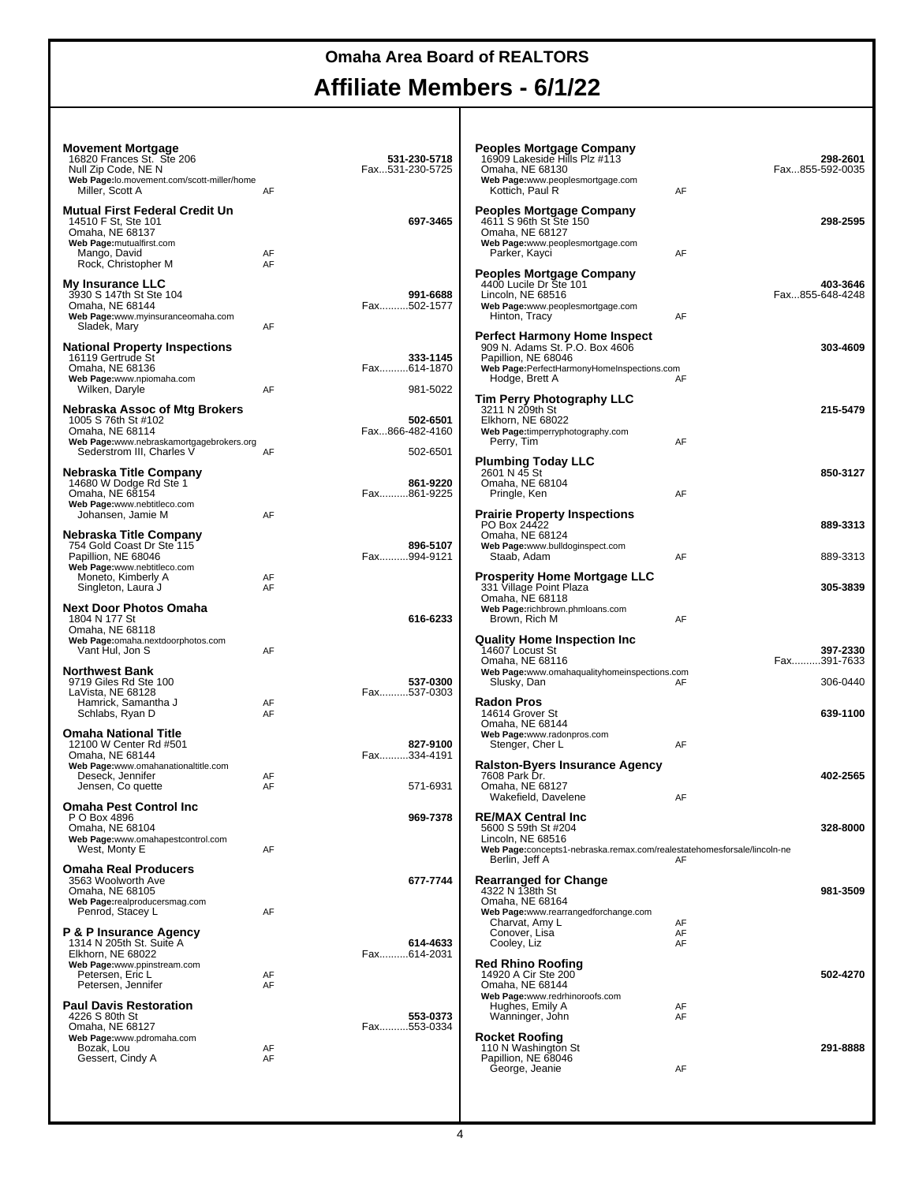| <b>Movement Mortgage</b><br>16820 Frances St. Ste 206<br>Null Zip Code, NE N |                                                                                                                                                                                                                                                                                                                                                                | 531-230-5718<br>Fax531-230-5725 | <b>Peoples Mortgage Company</b><br>16909 Lakeside Hills Plz #113<br>Omaha, NE 68130                            |          | 298-2601<br>Fax855-592-0035 |
|------------------------------------------------------------------------------|----------------------------------------------------------------------------------------------------------------------------------------------------------------------------------------------------------------------------------------------------------------------------------------------------------------------------------------------------------------|---------------------------------|----------------------------------------------------------------------------------------------------------------|----------|-----------------------------|
| Web Page:lo.movement.com/scott-miller/home<br>Miller, Scott A                | AF                                                                                                                                                                                                                                                                                                                                                             |                                 | Web Page:www.peoplesmortgage.com<br>Kottich, Paul R                                                            | AF       |                             |
| Mutual First Federal Credit Un<br>14510 F St, Ste 101<br>Omaha, NE 68137     |                                                                                                                                                                                                                                                                                                                                                                | 697-3465                        | <b>Peoples Mortgage Company</b><br>4611 S 96th St Ste 150<br>Omaha, NE 68127                                   |          | 298-2595                    |
| Web Page: mutualfirst.com<br>Mango, David<br>Rock, Christopher M             | AF<br>AF                                                                                                                                                                                                                                                                                                                                                       |                                 | Web Page:www.peoplesmortgage.com<br>Parker, Kayci                                                              | AF       |                             |
| <b>My Insurance LLC</b><br>3930 S 147th St Ste 104                           |                                                                                                                                                                                                                                                                                                                                                                | 991-6688                        | <b>Peoples Mortgage Company</b><br>4400 Lucile Dr Ste 101<br>Lincoln, NE 68516                                 |          | 403-3646<br>Fax855-648-4248 |
| Omaha, NE 68144<br>Web Page:www.myinsuranceomaha.com<br>Sladek, Mary         | AF                                                                                                                                                                                                                                                                                                                                                             | Fax502-1577                     | Web Page:www.peoplesmortgage.com<br>Hinton, Tracy                                                              | AF       |                             |
| <b>National Property Inspections</b>                                         |                                                                                                                                                                                                                                                                                                                                                                |                                 | <b>Perfect Harmony Home Inspect</b><br>909 N. Adams St. P.O. Box 4606                                          |          | 303-4609                    |
| 16119 Gertrude St<br>Omaha, NE 68136<br>Web Page:www.npiomaha.com            |                                                                                                                                                                                                                                                                                                                                                                | 333-1145<br>Fax614-1870         | Papillion, NE 68046<br>Web Page:PerfectHarmonyHomeInspections.com<br>Hodge, Brett A                            | AF       |                             |
| Wilken, Daryle<br>Nebraska Assoc of Mtg Brokers                              | AF                                                                                                                                                                                                                                                                                                                                                             | 981-5022                        | Tim Perry Photography LLC<br>3211 N 209th St                                                                   |          | 215-5479                    |
| 1005 S 76th St #102<br>Omaha, NE 68114                                       |                                                                                                                                                                                                                                                                                                                                                                | 502-6501<br>Fax866-482-4160     | Elkhorn, NE 68022<br>Web Page:timperryphotography.com                                                          |          |                             |
| Web Page:www.nebraskamortgagebrokers.org<br>Sederstrom III, Charles V        | AF                                                                                                                                                                                                                                                                                                                                                             | 502-6501                        | Perry, Tim                                                                                                     | AF       |                             |
| Nebraska Title Company<br>14680 W Dodge Rd Ste 1<br>Omaha, NE 68154          |                                                                                                                                                                                                                                                                                                                                                                |                                 | Omaha, NE 68104                                                                                                |          | 850-3127                    |
| Web Page:www.nebtitleco.com<br>Johansen, Jamie M                             | <b>Plumbing Today LLC</b><br>2601 N 45 St<br>861-9220<br>Fax861-9225<br>Pringle, Ken<br>AF<br><b>Prairie Property Inspections</b><br>AF<br>PO Box 24422<br>Omaha, NE 68124<br>896-5107<br>Web Page:www.bulldoginspect.com<br>Fax994-9121<br>Staab, Adam<br>AF<br><b>Prosperity Home Mortgage LLC</b><br>AF<br>331 Village Point Plaza<br>AF<br>Omaha, NE 68118 |                                 |                                                                                                                |          |                             |
| Nebraska Title Company<br>754 Gold Coast Dr Ste 115                          |                                                                                                                                                                                                                                                                                                                                                                |                                 |                                                                                                                |          | 889-3313                    |
| Papillion, NE 68046<br>Web Page:www.nebtitleco.com<br>Moneto, Kimberly A     |                                                                                                                                                                                                                                                                                                                                                                |                                 |                                                                                                                |          | 889-3313                    |
| Singleton, Laura J<br><b>Next Door Photos Omaha</b>                          |                                                                                                                                                                                                                                                                                                                                                                |                                 | Web Page:richbrown.phmloans.com                                                                                |          | 305-3839                    |
| 1804 N 177 St<br>Omaha, NE 68118                                             |                                                                                                                                                                                                                                                                                                                                                                | 616-6233                        | Brown, Rich M                                                                                                  | AF       |                             |
| Web Page:omaha.nextdoorphotos.com<br>Vant Hul, Jon S                         | AF                                                                                                                                                                                                                                                                                                                                                             |                                 | <b>Quality Home Inspection Inc.</b><br>14607 Locust St<br>Omaha, NE 68116                                      |          | 397-2330<br>Fax391-7633     |
| <b>Northwest Bank</b><br>9719 Giles Rd Ste 100<br>LaVista, NE 68128          |                                                                                                                                                                                                                                                                                                                                                                | 537-0300<br>Fax537-0303         | Web Page:www.omahaqualityhomeinspections.com<br>Slusky, Dan                                                    | AF       | 306-0440                    |
| Hamrick, Samantha J<br>Schlabs, Ryan D                                       | AF<br>AF                                                                                                                                                                                                                                                                                                                                                       |                                 | <b>Radon Pros</b><br>14614 Grover St<br>Omaha, NE 68144                                                        |          | 639-1100                    |
| <b>Omaha National Title</b><br>12100 W Center Rd #501                        |                                                                                                                                                                                                                                                                                                                                                                | 827-9100                        | Web Page:www.radonpros.com<br>Stenger, Cher L                                                                  | AF       |                             |
| Omaha, NE 68144<br>Web Page:www.omahanationaltitle.com<br>Deseck, Jennifer   | AF                                                                                                                                                                                                                                                                                                                                                             | Fax334-4191                     | <b>Ralston-Byers Insurance Agency</b><br>7608 Park Dr.                                                         |          | 402-2565                    |
| Jensen, Co quette<br><b>Omaha Pest Control Inc</b>                           | AF                                                                                                                                                                                                                                                                                                                                                             | 571-6931                        | Omaha, NE 68127<br>Wakefield, Davelene                                                                         | AF       |                             |
| P O Box 4896<br>Omaha, NE 68104                                              |                                                                                                                                                                                                                                                                                                                                                                | 969-7378                        | <b>RE/MAX Central Inc.</b><br>5600 S 59th St #204                                                              |          | 328-8000                    |
| Web Page:www.omahapestcontrol.com<br>West, Monty E                           | AF                                                                                                                                                                                                                                                                                                                                                             |                                 | Lincoln, NE 68516<br>Web Page:concepts1-nebraska.remax.com/realestatehomesforsale/lincoln-ne<br>Berlin, Jeff A | AF       |                             |
| <b>Omaha Real Producers</b><br>3563 Woolworth Ave<br>Omaha, NE 68105         |                                                                                                                                                                                                                                                                                                                                                                | 677-7744                        | <b>Rearranged for Change</b><br>4322 N 138th St                                                                |          | 981-3509                    |
| Web Page:realproducersmag.com<br>Penrod, Stacey L                            | AF                                                                                                                                                                                                                                                                                                                                                             |                                 | Omaha, NE 68164<br>Web Page:www.rearrangedforchange.com<br>Charvat, Amy L                                      | AF       |                             |
| P & P Insurance Agency<br>1314 N 205th St. Suite A                           |                                                                                                                                                                                                                                                                                                                                                                | 614-4633                        | Conover, Lisa<br>Cooley, Liz                                                                                   | AF<br>AF |                             |
| Elkhorn, NE 68022<br>Web Page:www.ppinstream.com<br>Petersen, Eric L         | AF                                                                                                                                                                                                                                                                                                                                                             | Fax614-2031                     | <b>Red Rhino Roofing</b><br>14920 A Cir Ste 200                                                                |          | 502-4270                    |
| Petersen, Jennifer<br><b>Paul Davis Restoration</b>                          | AF                                                                                                                                                                                                                                                                                                                                                             |                                 | Omaha, NE 68144<br>Web Page:www.redrhinoroofs.com<br>Hughes, Emily A                                           | AF       |                             |
| 4226 S 80th St<br>Omaha, NE 68127                                            |                                                                                                                                                                                                                                                                                                                                                                | 553-0373<br>Fax553-0334         | Wanninger, John<br><b>Rocket Roofing</b>                                                                       | AF       |                             |
| Web Page:www.pdromaha.com<br>Bozak, Lou<br>Gessert, Cindy A                  | AF<br>AF                                                                                                                                                                                                                                                                                                                                                       |                                 | 110 N Washington St<br>Papillion, NE 68046                                                                     |          | 291-8888                    |
|                                                                              |                                                                                                                                                                                                                                                                                                                                                                |                                 | George, Jeanie                                                                                                 | AF       |                             |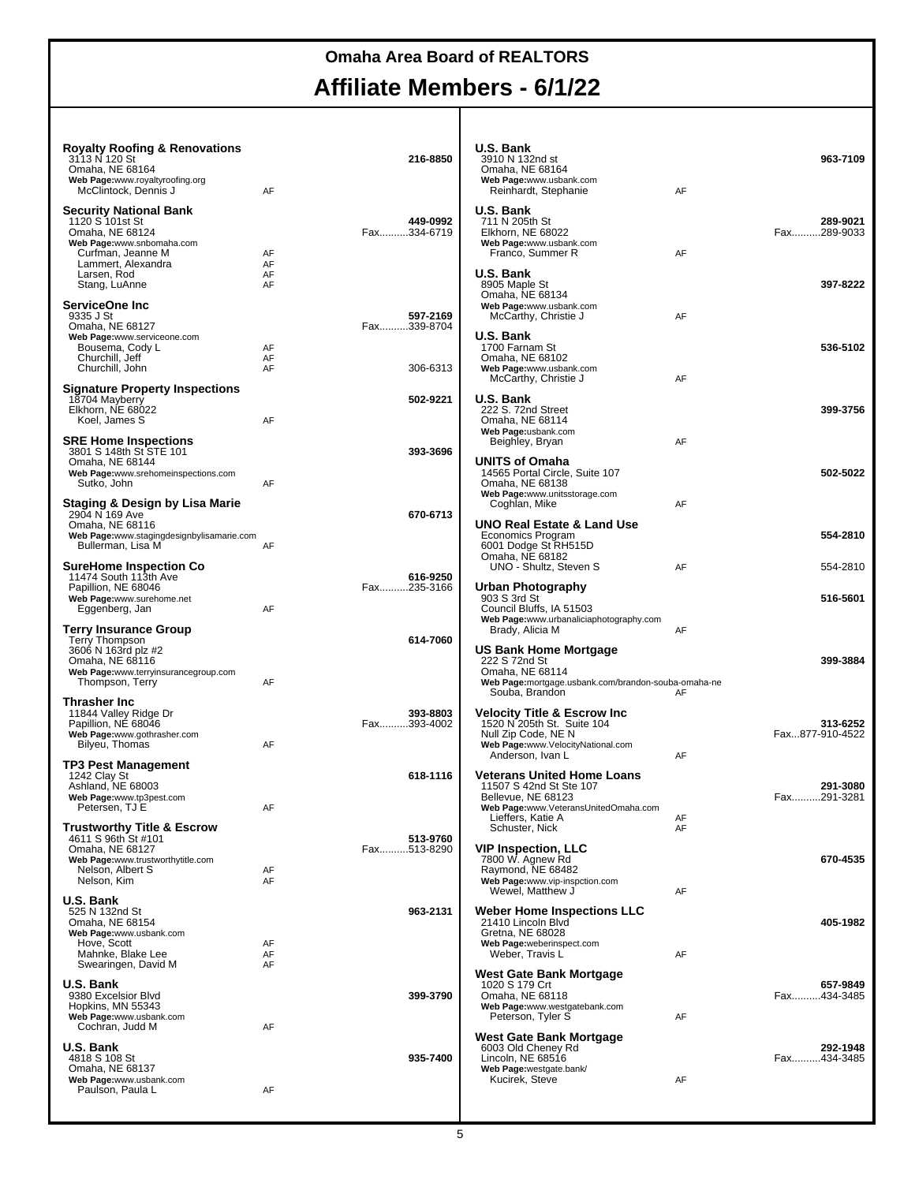# **Omaha Area Board of REALTORS**

#### **Affiliate Members - 6/1/22** т

| <b>Royalty Roofing &amp; Renovations</b>                                                                      |                      |                         | U.S. Bank                                                                                                                                            |          |                             |
|---------------------------------------------------------------------------------------------------------------|----------------------|-------------------------|------------------------------------------------------------------------------------------------------------------------------------------------------|----------|-----------------------------|
| 3113 N 120 St<br>Omaha, NE 68164<br>Web Page:www.royaltyroofing.org                                           |                      | 216-8850                | 3910 N 132nd st<br>Omaha, NE 68164<br>Web Page:www.usbank.com                                                                                        |          | 963-7109                    |
| McClintock, Dennis J<br><b>Security National Bank</b><br>1120 S 101st St<br>Omaha, NE 68124                   | AF                   | 449-0992<br>Fax334-6719 | Reinhardt, Stephanie<br>U.S. Bank<br>711 N 205th St<br>Elkhorn, NE 68022                                                                             | AF       | 289-9021<br>Fax289-9033     |
| Web Page:www.snbomaha.com<br>Curfman, Jeanne M<br>Lammert, Alexandra<br>Larsen, Rod<br>Stang, LuAnne          | AF<br>AF<br>AF<br>AF |                         | Web Page:www.usbank.com<br>Franco, Summer R<br>U.S. Bank<br>8905 Maple St<br>Omaha, NE 68134                                                         | AF       | 397-8222                    |
| ServiceOne Inc<br>9335 J St<br>Omaha, NE 68127                                                                |                      | 597-2169<br>Fax339-8704 | Web Page:www.usbank.com<br>McCarthy, Christie J<br>U.S. Bank                                                                                         | AF       |                             |
| Web Page:www.serviceone.com<br>Bousema, Cody L<br>Churchill, Jeff<br>Churchill, John                          | AF<br>AF<br>AF       | 306-6313                | 1700 Farnam St<br>Omaha, NE 68102<br>Web Page:www.usbank.com<br>McCarthy, Christie J                                                                 | AF       | 536-5102                    |
| <b>Signature Property Inspections</b><br>18704 Mayberry<br>Elkhorn, NE 68022<br>Koel, James S                 | AF                   | 502-9221                | U.S. Bank<br>222 S. 72nd Street<br>Omaha, NE 68114                                                                                                   |          | 399-3756                    |
| <b>SRE Home Inspections</b><br>3801 S 148th St STE 101<br>Omaha, NE 68144                                     |                      | 393-3696                | Web Page:usbank.com<br>Beighley, Bryan<br>UNITS of Omaha                                                                                             | AF       |                             |
| Web Page:www.srehomeinspections.com<br>Sutko, John<br>Staging & Design by Lisa Marie                          | AF                   |                         | 14565 Portal Circle, Suite 107<br>Omaha, NE 68138<br>Web Page:www.unitsstorage.com<br>Coghlan, Mike                                                  | AF       | 502-5022                    |
| 2904 N 169 Ave<br>Omaha, NE 68116<br>Web Page:www.stagingdesignbylisamarie.com<br>Bullerman, Lisa M           | AF                   | 670-6713                | UNO Real Estate & Land Use<br>Economics Program<br>6001 Dodge St RH515D                                                                              |          | 554-2810                    |
| <b>SureHome Inspection Co</b><br>11474 South 113th Ave                                                        |                      | 616-9250                | Omaha, NE 68182<br>UNO - Shultz, Steven S                                                                                                            | AF       | 554-2810                    |
| Papillion, NE 68046<br>Web Page:www.surehome.net<br>Eggenberg, Jan                                            | AF                   | Fax235-3166             | Urban Photography<br>903 S 3rd St<br>Council Bluffs, IA 51503                                                                                        |          | 516-5601                    |
| <b>Terry Insurance Group</b><br>Terry Thompson<br>3606 N 163rd plz #2                                         |                      | 614-7060                | Web Page:www.urbanaliciaphotography.com<br>Brady, Alicia M<br>US Bank Home Mortgage                                                                  | AF       |                             |
| Omaha, NE 68116<br>Web Page:www.terryinsurancegroup.com<br>Thompson, Terry                                    | AF                   |                         | 222 S 72nd St<br>Omaha, NE 68114<br>Web Page:mortgage.usbank.com/brandon-souba-omaha-ne<br>Souba, Brandon                                            | AF       | 399-3884                    |
| Thrasher Inc<br>11844 Valley Ridge Dr<br>Papillion, NE 68046<br>Web Page:www.gothrasher.com<br>Bilyeu, Thomas | AF                   | 393-8803<br>Fax393-4002 | <b>Velocity Title &amp; Escrow Inc</b><br>1520 N 205th St. Suite 104<br>Null Zip Code, NE N<br>Web Page:www.VelocityNational.com<br>Anderson, Ivan L | AF       | 313-6252<br>Fax877-910-4522 |
| <b>TP3 Pest Management</b><br>1242 Clay St<br>Ashland, NE 68003<br>Web Page:www.tp3pest.com                   |                      | 618-1116                | <b>Veterans United Home Loans</b><br>11507 S 42nd St Ste 107<br>Bellevue, NE 68123                                                                   |          | 291-3080<br>Fax291-3281     |
| Petersen, TJ E<br><b>Trustworthy Title &amp; Escrow</b><br>4611 S 96th St #101                                | AF                   | 513-9760                | Web Page:www.VeteransUnitedOmaha.com<br>Lieffers, Katie A<br>Schuster, Nick                                                                          | AF<br>AF |                             |
| Omaha, NE 68127<br>Web Page:www.trustworthytitle.com<br>Nelson, Albert S<br>Nelson, Kim                       | AF<br>AF             | Fax513-8290             | VIP Inspection, LLC<br>7800 W. Agnew Rd<br>Raymond, NE 68482<br>Web Page:www.vip-inspction.com<br>Wewel, Matthew J                                   | AF       | 670-4535                    |
| U.S. Bank<br>525 N 132nd St<br>Omaha, NE 68154<br>Web Page:www.usbank.com                                     |                      | 963-2131                | <b>Weber Home Inspections LLC</b><br>21410 Lincoln Blvd<br>Gretna, NE 68028                                                                          |          | 405-1982                    |
| Hove, Scott<br>Mahnke, Blake Lee<br>Swearingen, David M                                                       | AF<br>AF<br>AF       |                         | Web Page:weberinspect.com<br>Weber, Travis L                                                                                                         | AF       |                             |
| U.S. Bank<br>9380 Excelsior Blvd<br>Hopkins, MN 55343<br>Web Page:www.usbank.com<br>Cochran, Judd M           | AF                   | 399-3790                | West Gate Bank Mortgage<br>1020 S 179 Crt<br>Omaha, NE 68118<br>Web Page:www.westgatebank.com<br>Peterson, Tyler S                                   | AF       | 657-9849<br>Fax434-3485     |
| U.S. Bank<br>4818 S 108 St<br>Omaha, NE 68137                                                                 |                      | 935-7400                | West Gate Bank Mortgage<br>6003 Old Cheney Rd<br>Lincoln, NE 68516<br>Web Page:westgate.bank/                                                        |          | 292-1948<br>Fax434-3485     |
| Web Page:www.usbank.com<br>Paulson, Paula L                                                                   | AF                   |                         | Kucirek, Steve                                                                                                                                       | AF       |                             |